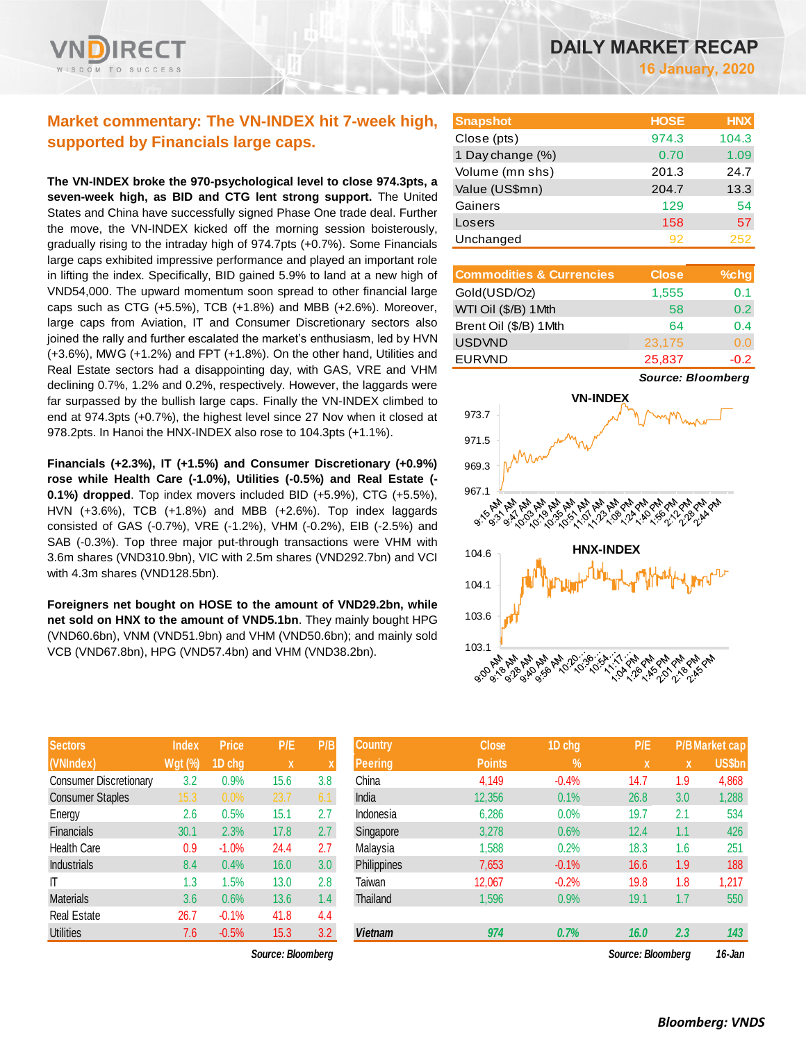## **Market commentary: The VN-INDEX hit 7-week high, supported by Financials large caps.**

**The VN-INDEX broke the 970-psychological level to close 974.3pts, a seven-week high, as BID and CTG lent strong support.** The United States and China have successfully signed Phase One trade deal. Further the move, the VN-INDEX kicked off the morning session boisterously, gradually rising to the intraday high of 974.7pts (+0.7%). Some Financials large caps exhibited impressive performance and played an important role in lifting the index. Specifically, BID gained 5.9% to land at a new high of VND54,000. The upward momentum soon spread to other financial large caps such as CTG (+5.5%), TCB (+1.8%) and MBB (+2.6%). Moreover, large caps from Aviation, IT and Consumer Discretionary sectors also joined the rally and further escalated the market's enthusiasm, led by HVN (+3.6%), MWG (+1.2%) and FPT (+1.8%). On the other hand, Utilities and Real Estate sectors had a disappointing day, with GAS, VRE and VHM declining 0.7%, 1.2% and 0.2%, respectively. However, the laggards were far surpassed by the bullish large caps. Finally the VN-INDEX climbed to end at 974.3pts (+0.7%), the highest level since 27 Nov when it closed at 978.2pts. In Hanoi the HNX-INDEX also rose to 104.3pts (+1.1%).

**Financials (+2.3%), IT (+1.5%) and Consumer Discretionary (+0.9%) rose while Health Care (-1.0%), Utilities (-0.5%) and Real Estate (- 0.1%) dropped**. Top index movers included BID (+5.9%), CTG (+5.5%), HVN (+3.6%), TCB (+1.8%) and MBB (+2.6%). Top index laggards consisted of GAS (-0.7%), VRE (-1.2%), VHM (-0.2%), EIB (-2.5%) and SAB (-0.3%). Top three major put-through transactions were VHM with 3.6m shares (VND310.9bn), VIC with 2.5m shares (VND292.7bn) and VCI with 4.3m shares (VND128.5bn).

**Foreigners net bought on HOSE to the amount of VND29.2bn, while net sold on HNX to the amount of VND5.1bn**. They mainly bought HPG (VND60.6bn), VNM (VND51.9bn) and VHM (VND50.6bn); and mainly sold VCB (VND67.8bn), HPG (VND57.4bn) and VHM (VND38.2bn).

| <b>Sectors</b>                | <b>Index</b> | <b>Price</b> | P/E  | P/B |
|-------------------------------|--------------|--------------|------|-----|
| (VNIndex)                     | $Wgt$ (%)    | 1D chg       | X    | X   |
| <b>Consumer Discretionary</b> | 3.2          | 0.9%         | 15.6 | 3.8 |
| <b>Consumer Staples</b>       | 15.3         | 0.0%         | 23.7 | 6.1 |
| Energy                        | 2.6          | 0.5%         | 15.1 | 2.7 |
| <b>Financials</b>             | 30.1         | 2.3%         | 17.8 | 2.7 |
| <b>Health Care</b>            | 0.9          | $-1.0%$      | 24.4 | 2.7 |
| Industrials                   | 8.4          | 0.4%         | 16.0 | 3.0 |
| ıτ                            | 1.3          | 1.5%         | 13.0 | 2.8 |
| <b>Materials</b>              | 3.6          | 0.6%         | 13.6 | 1.4 |
| <b>Real Estate</b>            | 26.7         | $-0.1%$      | 41.8 | 4.4 |
| <b>Utilities</b>              | 7.6          | $-0.5%$      | 15.3 | 3.2 |

| <b>Snapshot</b>  | <b>HOSE</b> | <b>HNX</b> |
|------------------|-------------|------------|
| Close (pts)      | 974.3       | 104.3      |
| 1 Day change (%) | 0.70        | 1.09       |
| Volume (mn shs)  | 201.3       | 24.7       |
| Value (US\$mn)   | 204.7       | 13.3       |
| Gainers          | 129         | 54         |
| Losers           | 158         | 57         |
| Unchanged        | 92          | 252        |

| <b>Commodities &amp; Currencies</b> | <b>Close</b> | $%$ chg       |
|-------------------------------------|--------------|---------------|
| Gold(USD/Oz)                        | 1,555        | 0.1           |
| WTI Oil (\$/B) 1Mth                 | 58           | $0.2^{\circ}$ |
| Brent Oil (\$/B) 1Mth               | 64           | 0.4           |
| <b>USDVND</b>                       | 23,175       | 0.0           |
| <b>EURVND</b>                       | 25,837       | -0.2          |

*Source: Bloomberg*



| <b>Sectors</b>          | <b>Index</b> | <b>Price</b> | P/E               | P/B | <b>Country</b> | <b>Close</b>  | 1D chg     | P/E               |     | <b>P/B Market cap</b> |
|-------------------------|--------------|--------------|-------------------|-----|----------------|---------------|------------|-------------------|-----|-----------------------|
| (VNIndex)               | $Wgt$ (%)    | 1D chg       | X                 |     | <b>Peering</b> | <b>Points</b> | $\sqrt{2}$ | ιXί               | X   | <b>US\$bn</b>         |
| Consumer Discretionary  | 3.2          | 0.9%         | 15.6              | 3.8 | China          | 4,149         | $-0.4%$    | 14.7              | 1.9 | 4,868                 |
| <b>Consumer Staples</b> | 15.3         | 0.0%         | 23.7              | 6.1 | India          | 12,356        | 0.1%       | 26.8              | 3.0 | 1,288                 |
| Energy                  | 2.6          | 0.5%         | 15.1              | 2.7 | Indonesia      | 6,286         | 0.0%       | 19.7              | 2.1 | 534                   |
| <b>Financials</b>       | 30.1         | 2.3%         | 17.8              | 2.7 | Singapore      | 3,278         | 0.6%       | 12.4              | 1.1 | 426                   |
| Health Care             | 0.9          | $-1.0%$      | 24.4              | 2.7 | Malaysia       | 1,588         | 0.2%       | 18.3              | 1.6 | 251                   |
| <b>Industrials</b>      | 8.4          | 0.4%         | 16.0              | 3.0 | Philippines    | 7,653         | $-0.1%$    | 16.6              | 1.9 | 188                   |
| ΙT                      | 1.3          | .5%          | 13.0              | 2.8 | Taiwan         | 12,067        | $-0.2%$    | 19.8              | 1.8 | 1,217                 |
| Materials               | 3.6          | 0.6%         | 13.6              | 1.4 | Thailand       | 1,596         | 0.9%       | 19.1              | 1.7 | 550                   |
| Real Estate             | 26.7         | $-0.1%$      | 41.8              | 4.4 |                |               |            |                   |     |                       |
| <b>Utilities</b>        | 7.6          | $-0.5%$      | 15.3              | 3.2 | <b>Vietnam</b> | 974           | 0.7%       | 16.0              | 2.3 | 143                   |
|                         |              |              | Source: Bloomberg |     |                |               |            | Source: Bloombera |     | $16 - Jan$            |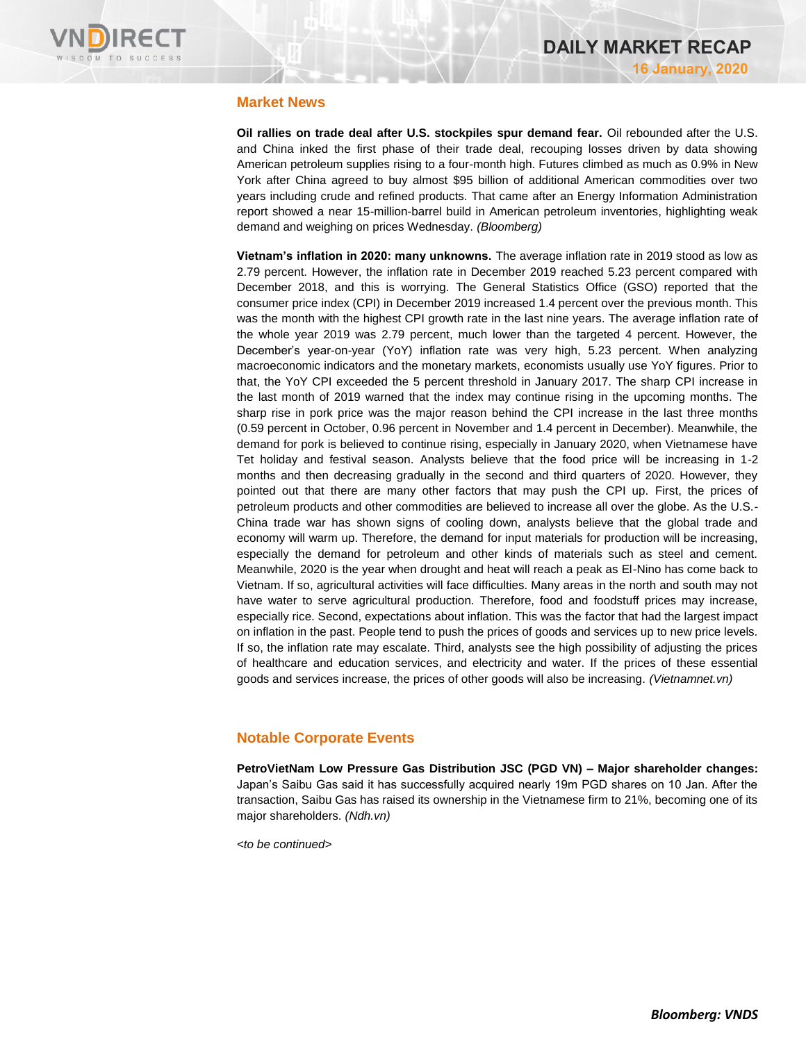

### **Market News**

**Oil rallies on trade deal after U.S. stockpiles spur demand fear.** Oil rebounded after the U.S. and China inked the first phase of their trade deal, recouping losses driven by data showing American petroleum supplies rising to a four-month high. Futures climbed as much as 0.9% in New York after China agreed to buy almost \$95 billion of additional American commodities over two years including crude and refined products. That came after an Energy Information Administration report showed a near 15-million-barrel build in American petroleum inventories, highlighting weak demand and weighing on prices Wednesday. *(Bloomberg)*

**Vietnam's inflation in 2020: many unknowns.** The average inflation rate in 2019 stood as low as 2.79 percent. However, the inflation rate in December 2019 reached 5.23 percent compared with December 2018, and this is worrying. The General Statistics Office (GSO) reported that the consumer price index (CPI) in December 2019 increased 1.4 percent over the previous month. This was the month with the highest CPI growth rate in the last nine years. The average inflation rate of the whole year 2019 was 2.79 percent, much lower than the targeted 4 percent. However, the December's year-on-year (YoY) inflation rate was very high, 5.23 percent. When analyzing macroeconomic indicators and the monetary markets, economists usually use YoY figures. Prior to that, the YoY CPI exceeded the 5 percent threshold in January 2017. The sharp CPI increase in the last month of 2019 warned that the index may continue rising in the upcoming months. The sharp rise in pork price was the major reason behind the CPI increase in the last three months (0.59 percent in October, 0.96 percent in November and 1.4 percent in December). Meanwhile, the demand for pork is believed to continue rising, especially in January 2020, when Vietnamese have Tet holiday and festival season. Analysts believe that the food price will be increasing in 1-2 months and then decreasing gradually in the second and third quarters of 2020. However, they pointed out that there are many other factors that may push the CPI up. First, the prices of petroleum products and other commodities are believed to increase all over the globe. As the U.S.- China trade war has shown signs of cooling down, analysts believe that the global trade and economy will warm up. Therefore, the demand for input materials for production will be increasing, especially the demand for petroleum and other kinds of materials such as steel and cement. Meanwhile, 2020 is the year when drought and heat will reach a peak as El-Nino has come back to Vietnam. If so, agricultural activities will face difficulties. Many areas in the north and south may not have water to serve agricultural production. Therefore, food and foodstuff prices may increase, especially rice. Second, expectations about inflation. This was the factor that had the largest impact on inflation in the past. People tend to push the prices of goods and services up to new price levels. If so, the inflation rate may escalate. Third, analysts see the high possibility of adjusting the prices of healthcare and education services, and electricity and water. If the prices of these essential goods and services increase, the prices of other goods will also be increasing. *(Vietnamnet.vn)*

## **Notable Corporate Events**

**PetroVietNam Low Pressure Gas Distribution JSC (PGD VN) – Major shareholder changes:** Japan's Saibu Gas said it has successfully acquired nearly 19m PGD shares on 10 Jan. After the transaction, Saibu Gas has raised its ownership in the Vietnamese firm to 21%, becoming one of its major shareholders. *(Ndh.vn)*

*<to be continued>*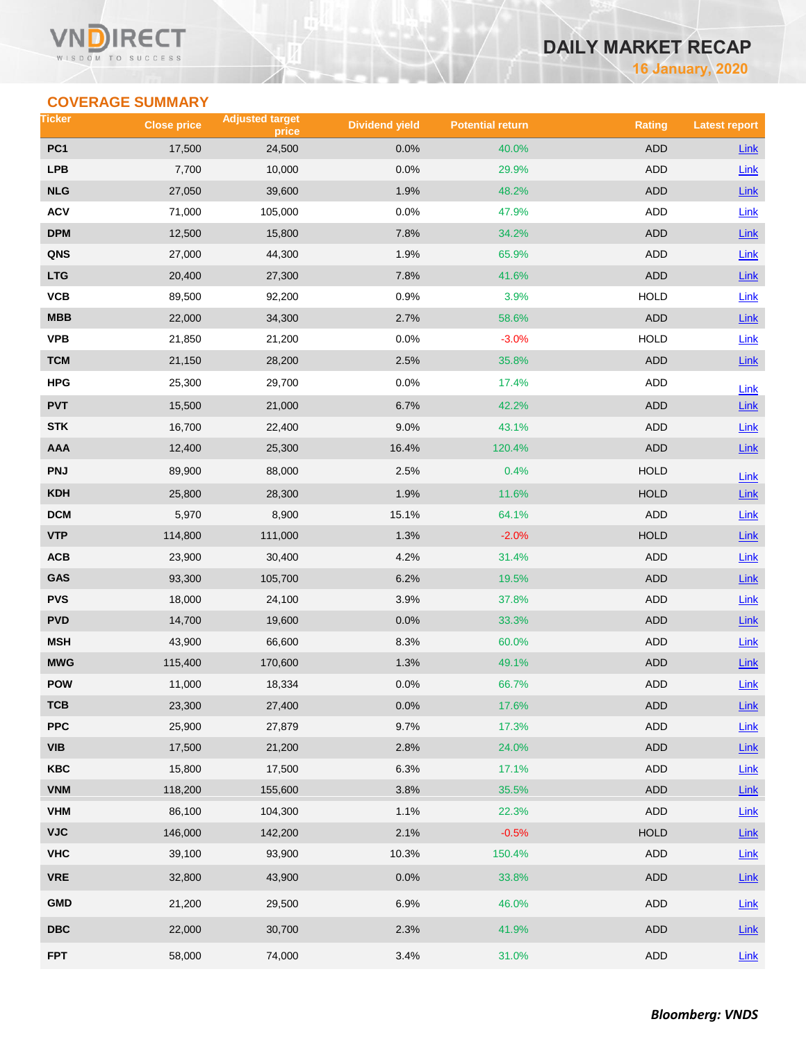# **DAILY MARKET RECAP**

**16 January, 2020**

## **COVERAGE SUMMARY**

| Ticker          | <b>Close price</b> | <b>Adjusted target</b><br>price | <b>Dividend yield</b> | <b>Potential return</b> | <b>Rating</b> | <b>Latest report</b> |
|-----------------|--------------------|---------------------------------|-----------------------|-------------------------|---------------|----------------------|
| PC <sub>1</sub> | 17,500             | 24,500                          | 0.0%                  | 40.0%                   | <b>ADD</b>    | Link                 |
| <b>LPB</b>      | 7,700              | 10,000                          | 0.0%                  | 29.9%                   | <b>ADD</b>    | Link                 |
| <b>NLG</b>      | 27,050             | 39,600                          | 1.9%                  | 48.2%                   | <b>ADD</b>    | Link                 |
| <b>ACV</b>      | 71,000             | 105,000                         | 0.0%                  | 47.9%                   | ADD           | <b>Link</b>          |
| <b>DPM</b>      | 12,500             | 15,800                          | 7.8%                  | 34.2%                   | <b>ADD</b>    | Link                 |
| QNS             | 27,000             | 44,300                          | 1.9%                  | 65.9%                   | ADD           | Link                 |
| <b>LTG</b>      | 20,400             | 27,300                          | 7.8%                  | 41.6%                   | <b>ADD</b>    | Link                 |
| VCB             | 89,500             | 92,200                          | 0.9%                  | 3.9%                    | <b>HOLD</b>   | Link                 |
| <b>MBB</b>      | 22,000             | 34,300                          | 2.7%                  | 58.6%                   | <b>ADD</b>    | Link                 |
| <b>VPB</b>      | 21,850             | 21,200                          | 0.0%                  | $-3.0%$                 | <b>HOLD</b>   | Link                 |
| <b>TCM</b>      | 21,150             | 28,200                          | 2.5%                  | 35.8%                   | <b>ADD</b>    | Link                 |
| <b>HPG</b>      | 25,300             | 29,700                          | 0.0%                  | 17.4%                   | ADD           | Link                 |
| <b>PVT</b>      | 15,500             | 21,000                          | 6.7%                  | 42.2%                   | <b>ADD</b>    | Link                 |
| <b>STK</b>      | 16,700             | 22,400                          | 9.0%                  | 43.1%                   | ADD           | Link                 |
| <b>AAA</b>      | 12,400             | 25,300                          | 16.4%                 | 120.4%                  | <b>ADD</b>    | Link                 |
| <b>PNJ</b>      | 89,900             | 88,000                          | 2.5%                  | 0.4%                    | <b>HOLD</b>   | Link                 |
| <b>KDH</b>      | 25,800             | 28,300                          | 1.9%                  | 11.6%                   | <b>HOLD</b>   | Link                 |
| <b>DCM</b>      | 5,970              | 8,900                           | 15.1%                 | 64.1%                   | ADD           | Link                 |
| <b>VTP</b>      | 114,800            | 111,000                         | 1.3%                  | $-2.0%$                 | <b>HOLD</b>   | Link                 |
| ACB             | 23,900             | 30,400                          | 4.2%                  | 31.4%                   | ADD           | Link                 |
| GAS             | 93,300             | 105,700                         | 6.2%                  | 19.5%                   | <b>ADD</b>    | Link                 |
| <b>PVS</b>      | 18,000             | 24,100                          | 3.9%                  | 37.8%                   | ADD           | Link                 |
| <b>PVD</b>      | 14,700             | 19,600                          | 0.0%                  | 33.3%                   | <b>ADD</b>    | Link                 |
| <b>MSH</b>      | 43,900             | 66,600                          | 8.3%                  | 60.0%                   | ADD           | Link                 |
| <b>MWG</b>      | 115,400            | 170,600                         | 1.3%                  | 49.1%                   | <b>ADD</b>    | Link                 |
| <b>POW</b>      | 11,000             | 18,334                          | 0.0%                  | 66.7%                   | ADD           | Link                 |
| TCB             | 23,300             | 27,400                          | 0.0%                  | 17.6%                   | ADD           | $Link$               |
| <b>PPC</b>      | 25,900             | 27,879                          | 9.7%                  | 17.3%                   | ADD           | Link                 |
| <b>VIB</b>      | 17,500             | 21,200                          | 2.8%                  | 24.0%                   | <b>ADD</b>    | $Link$               |
| KBC             | 15,800             | 17,500                          | 6.3%                  | 17.1%                   | ADD           | Link                 |
| <b>VNM</b>      | 118,200            | 155,600                         | 3.8%                  | 35.5%                   | <b>ADD</b>    | Link                 |
| <b>VHM</b>      | 86,100             | 104,300                         | 1.1%                  | 22.3%                   | ADD           | Link                 |
| <b>VJC</b>      | 146,000            | 142,200                         | 2.1%                  | $-0.5%$                 | <b>HOLD</b>   | $Link$               |
| <b>VHC</b>      | 39,100             | 93,900                          | 10.3%                 | 150.4%                  | ADD           | Link                 |
| <b>VRE</b>      | 32,800             | 43,900                          | 0.0%                  | 33.8%                   | <b>ADD</b>    | $Link$               |
| <b>GMD</b>      | 21,200             | 29,500                          | 6.9%                  | 46.0%                   | ADD           | Link                 |
| <b>DBC</b>      | 22,000             | 30,700                          | 2.3%                  | 41.9%                   | ADD           | Link                 |
| <b>FPT</b>      | 58,000             | 74,000                          | 3.4%                  | 31.0%                   | ADD           | Link                 |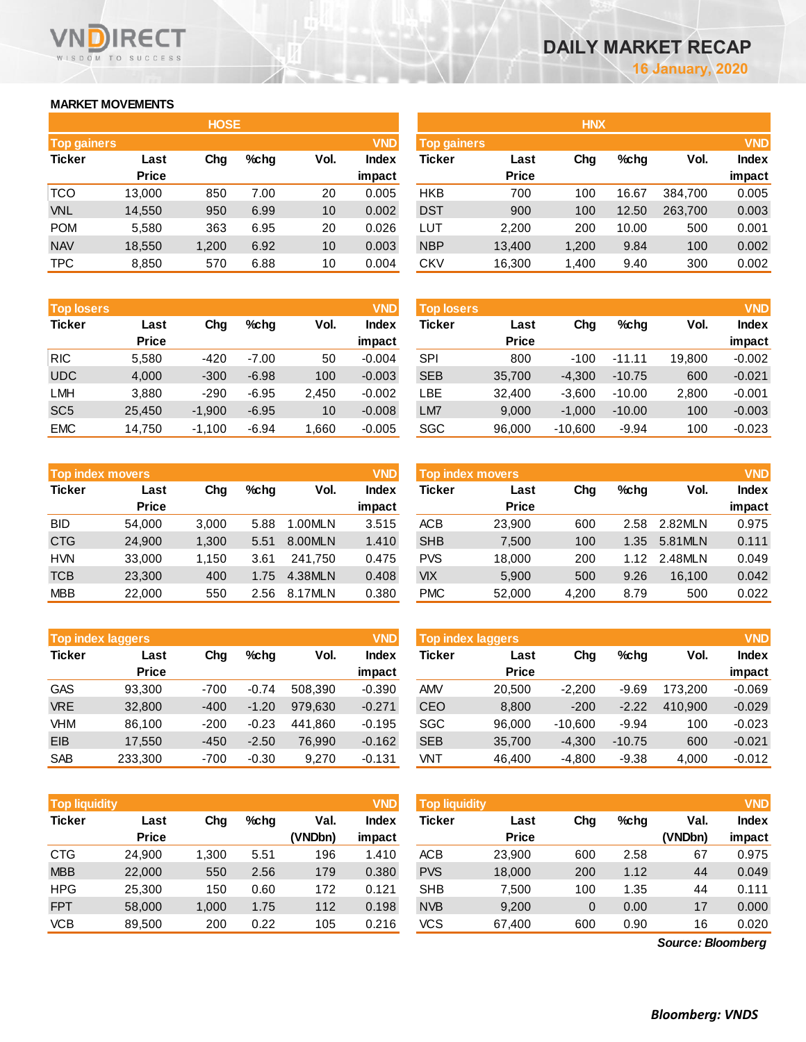## **MARKET MOVEMENTS**

WISDOM TO SUCCESS

RECT

|                                  |              | <b>HOSE</b> |         |      |        | <b>HNX</b>         |              |       |         |         |            |
|----------------------------------|--------------|-------------|---------|------|--------|--------------------|--------------|-------|---------|---------|------------|
| <b>VND</b><br><b>Top gainers</b> |              |             |         |      |        | <b>Top gainers</b> |              |       |         |         | <b>VND</b> |
| <b>Ticker</b>                    | Last         | Chg         | $%$ chg | Vol. | Index  | Ticker             | Last         | Chg   | $%$ chg | Vol.    | Index      |
|                                  | <b>Price</b> |             |         |      | impact |                    | <b>Price</b> |       |         |         | impact     |
| <b>TCO</b>                       | 13,000       | 850         | 7.00    | 20   | 0.005  | <b>HKB</b>         | 700          | 100   | 16.67   | 384.700 | 0.005      |
| <b>VNL</b>                       | 14,550       | 950         | 6.99    | 10   | 0.002  | <b>DST</b>         | 900          | 100   | 12.50   | 263,700 | 0.003      |
| <b>POM</b>                       | 5,580        | 363         | 6.95    | 20   | 0.026  | LUT                | 2.200        | 200   | 10.00   | 500     | 0.001      |
| <b>NAV</b>                       | 18,550       | 1,200       | 6.92    | 10   | 0.003  | <b>NBP</b>         | 13,400       | 1,200 | 9.84    | 100     | 0.002      |
| <b>TPC</b>                       | 8,850        | 570         | 6.88    | 10   | 0.004  | CKV                | 16,300       | 1,400 | 9.40    | 300     | 0.002      |

| <b>Top losers</b> |              |          |         |       | <b>VND</b>   |
|-------------------|--------------|----------|---------|-------|--------------|
| <b>Ticker</b>     | Last         | Cha      | %chq    | Vol.  | <b>Index</b> |
|                   | <b>Price</b> |          |         |       | impact       |
| <b>RIC</b>        | 5,580        | $-420$   | $-7.00$ | 50    | $-0.004$     |
| <b>UDC</b>        | 4,000        | $-300$   | $-6.98$ | 100   | $-0.003$     |
| <b>LMH</b>        | 3,880        | $-290$   | $-6.95$ | 2,450 | $-0.002$     |
| SC <sub>5</sub>   | 25,450       | $-1,900$ | $-6.95$ | 10    | $-0.008$     |
| <b>EMC</b>        | 14,750       | $-1,100$ | $-6.94$ | 1,660 | $-0.005$     |

|               | <b>Top index movers</b> |       |      |         | <b>VND</b>   |
|---------------|-------------------------|-------|------|---------|--------------|
| <b>Ticker</b> | Last                    | Cha   | %chq | Vol.    | <b>Index</b> |
|               | <b>Price</b>            |       |      |         | impact       |
| <b>BID</b>    | 54,000                  | 3,000 | 5.88 | 1.00MLN | 3.515        |
| <b>CTG</b>    | 24,900                  | 1,300 | 5.51 | 8.00MLN | 1.410        |
| <b>HVN</b>    | 33,000                  | 1,150 | 3.61 | 241,750 | 0.475        |
| <b>TCB</b>    | 23,300                  | 400   | 1.75 | 4.38MLN | 0.408        |
| <b>MBB</b>    | 22,000                  | 550   | 2.56 | 8.17MLN | 0.380        |

| <b>Top index laggers</b> |              |        |         |         | <b>VND</b>   |
|--------------------------|--------------|--------|---------|---------|--------------|
| <b>Ticker</b>            | Last         | Cha    | %chq    | Vol.    | <b>Index</b> |
|                          | <b>Price</b> |        |         |         | impact       |
| <b>GAS</b>               | 93,300       | $-700$ | $-0.74$ | 508,390 | $-0.390$     |
| <b>VRE</b>               | 32,800       | $-400$ | $-1.20$ | 979,630 | $-0.271$     |
| <b>VHM</b>               | 86,100       | $-200$ | $-0.23$ | 441.860 | $-0.195$     |
| EIB                      | 17,550       | $-450$ | $-2.50$ | 76,990  | $-0.162$     |
| <b>SAB</b>               | 233,300      | $-700$ | $-0.30$ | 9,270   | $-0.131$     |

| <b>VND</b><br><b>Top liquidity</b> |                      |        |         |                 |                 | <b>Top liquidity</b> |                      |                |      |                   | <b>VND</b>      |
|------------------------------------|----------------------|--------|---------|-----------------|-----------------|----------------------|----------------------|----------------|------|-------------------|-----------------|
| Ticker                             | Last<br><b>Price</b> | Chg    | $%$ chg | Val.<br>(VNDbn) | Index<br>impact | Ticker               | Last<br><b>Price</b> | Chg            | %chg | Val.<br>(VNDbn)   | Index<br>impact |
| CTG                                | 24,900               | 300. ا | 5.51    | 196             | 1.410           | <b>ACB</b>           | 23,900               | 600            | 2.58 | 67                | 0.975           |
| <b>MBB</b>                         | 22,000               | 550    | 2.56    | 179             | 0.380           | <b>PVS</b>           | 18,000               | 200            | 1.12 | 44                | 0.049           |
| <b>HPG</b>                         | 25,300               | 150    | 0.60    | 172             | 0.121           | <b>SHB</b>           | 7,500                | 100            | 1.35 | 44                | 0.111           |
| <b>FPT</b>                         | 58,000               | 1.000  | 1.75    | 112             | 0.198           | <b>NVB</b>           | 9,200                | $\overline{0}$ | 0.00 | 17                | 0.000           |
| <b>VCB</b>                         | 89,500               | 200    | 0.22    | 105             | 0.216           | <b>VCS</b>           | 67,400               | 600            | 0.90 | 16                | 0.020           |
|                                    |                      |        |         |                 |                 |                      |                      |                |      | Source: Bloomberg |                 |

| <b>HOSE</b>                      |              |       |         |      |              | <b>HNX</b>                       |              |       |         |         |        |
|----------------------------------|--------------|-------|---------|------|--------------|----------------------------------|--------------|-------|---------|---------|--------|
| <b>VND</b><br><b>Top gainers</b> |              |       |         |      |              | <b>VND</b><br><b>Top gainers</b> |              |       |         |         |        |
| Ticker                           | Last         | Chg   | $%$ chg | Vol. | <b>Index</b> | Ticker                           | Last         | Chg   | $%$ chg | Vol.    | Index  |
|                                  | <b>Price</b> |       |         |      | impact       |                                  | <b>Price</b> |       |         |         | impact |
| TCO                              | 13,000       | 850   | 7.00    | 20   | 0.005        | <b>HKB</b>                       | 700          | 100   | 16.67   | 384,700 | 0.005  |
| <b>VNL</b>                       | 14,550       | 950   | 6.99    | 10   | 0.002        | <b>DST</b>                       | 900          | 100   | 12.50   | 263,700 | 0.003  |
| <b>POM</b>                       | 5,580        | 363   | 6.95    | 20   | 0.026        | <b>LUT</b>                       | 2,200        | 200   | 10.00   | 500     | 0.001  |
| <b>NAV</b>                       | 18,550       | 1,200 | 6.92    | 10   | 0.003        | <b>NBP</b>                       | 13,400       | 1,200 | 9.84    | 100     | 0.002  |
| <b>TPC</b>                       | 8,850        | 570   | 6.88    | 10   | 0.004        | <b>CKV</b>                       | 16,300       | 1,400 | 9.40    | 300     | 0.002  |
|                                  |              |       |         |      |              |                                  |              |       |         |         |        |

| <b>Top losers</b> |              |          |         |       | <b>VND</b> | <b>Top losers</b> |              |           |          |        | <b>VND</b>   |
|-------------------|--------------|----------|---------|-------|------------|-------------------|--------------|-----------|----------|--------|--------------|
| Ticker            | Last         | Chg      | $%$ chg | Vol.  | Index      | Ticker            | Last         | Chg       | $%$ chq  | Vol.   | <b>Index</b> |
|                   | <b>Price</b> |          |         |       | impact     |                   | <b>Price</b> |           |          |        | impact       |
| <b>RIC</b>        | 5,580        | -420     | $-7.00$ | 50    | $-0.004$   | SPI               | 800          | $-100$    | $-11.11$ | 19.800 | $-0.002$     |
| <b>UDC</b>        | 4,000        | $-300$   | $-6.98$ | 100   | $-0.003$   | <b>SEB</b>        | 35,700       | $-4,300$  | $-10.75$ | 600    | $-0.021$     |
| LMH               | 3,880        | $-290$   | $-6.95$ | 2,450 | $-0.002$   | ∟BE               | 32,400       | $-3,600$  | $-10.00$ | 2,800  | $-0.001$     |
| SC <sub>5</sub>   | 25,450       | $-1,900$ | $-6.95$ | 10    | $-0.008$   | LM7               | 9,000        | $-1,000$  | $-10.00$ | 100    | $-0.003$     |
| EMC               | 14,750       | $-1,100$ | $-6.94$ | .660  | $-0.005$   | SGC               | 96,000       | $-10,600$ | $-9.94$  | 100    | $-0.023$     |

| <b>Top index movers</b> |                      |       |      |         | <b>VND</b>             | Top index movers |                      | <b>VND</b> |      |         |                        |
|-------------------------|----------------------|-------|------|---------|------------------------|------------------|----------------------|------------|------|---------|------------------------|
| Ticker                  | Last<br><b>Price</b> | Chg   | %chq | Vol.    | <b>Index</b><br>impact | Ticker           | Last<br><b>Price</b> | Chg        | %chq | Vol.    | <b>Index</b><br>impact |
| BID                     | 54.000               | 3,000 | 5.88 | 1.00MLN | 3.515                  | <b>ACB</b>       | 23,900               | 600        | 2.58 | 2.82MLN | 0.975                  |
| <b>CTG</b>              | 24,900               | 1,300 | 5.51 | 8.00MLN | 1.410                  | <b>SHB</b>       | 7,500                | 100        | 1.35 | 5.81MLN | 0.111                  |
| HVN                     | 33,000               | 1.150 | 3.61 | 241.750 | 0.475                  | <b>PVS</b>       | 18,000               | 200        | 1.12 | 2.48MLN | 0.049                  |
| TCB                     | 23,300               | 400   | 1.75 | 4.38MLN | 0.408                  | <b>VIX</b>       | 5,900                | 500        | 9.26 | 16.100  | 0.042                  |
| MBB                     | 22,000               | 550   | 2.56 | 8.17MLN | 0.380                  | <b>PMC</b>       | 52,000               | 4,200      | 8.79 | 500     | 0.022                  |

|            | <b>Top index laggers</b> |        |         |         | <b>VND</b>      | Top index laggers |                      | <b>VND</b> |          |         |                        |
|------------|--------------------------|--------|---------|---------|-----------------|-------------------|----------------------|------------|----------|---------|------------------------|
| Ticker     | Last<br><b>Price</b>     | Chg    | $%$ chg | Vol.    | Index<br>impact | Ticker            | Last<br><b>Price</b> | Chg        | $%$ chg  | Vol.    | <b>Index</b><br>impact |
| GAS        | 93.300                   | $-700$ | $-0.74$ | 508.390 | $-0.390$        | <b>AMV</b>        | 20,500               | $-2.200$   | $-9.69$  | 173.200 | $-0.069$               |
| <b>VRE</b> | 32,800                   | $-400$ | $-1.20$ | 979.630 | $-0.271$        | <b>CEO</b>        | 8,800                | $-200$     | $-2.22$  | 410.900 | $-0.029$               |
| VHM        | 86.100                   | $-200$ | $-0.23$ | 441.860 | $-0.195$        | <b>SGC</b>        | 96.000               | $-10.600$  | $-9.94$  | 100     | $-0.023$               |
| EIB        | 17.550                   | $-450$ | $-2.50$ | 76,990  | $-0.162$        | <b>SEB</b>        | 35,700               | $-4.300$   | $-10.75$ | 600     | $-0.021$               |
| SAB        | 233,300                  | $-700$ | $-0.30$ | 9,270   | $-0.131$        | VNT               | 46,400               | $-4,800$   | $-9.38$  | 4,000   | $-0.012$               |

| <b>Top liquidity</b> |              |          |         |         | <b>VND</b>   |
|----------------------|--------------|----------|---------|---------|--------------|
| <b>Ticker</b>        | Last         | Cha      | $%$ chq | Val.    | <b>Index</b> |
|                      | <b>Price</b> |          |         | (VNDbn) | impact       |
| <b>ACB</b>           | 23,900       | 600      | 2.58    | 67      | 0.975        |
| <b>PVS</b>           | 18,000       | 200      | 1.12    | 44      | 0.049        |
| <b>SHB</b>           | 7,500        | 100      | 1.35    | 44      | 0.111        |
| <b>NVB</b>           | 9.200        | $\Omega$ | 0.00    | 17      | 0.000        |
| <b>VCS</b>           | 67,400       | 600      | 0.90    | 16      | 0.020        |
|                      |              |          |         |         |              |

*Source: Bloomberg*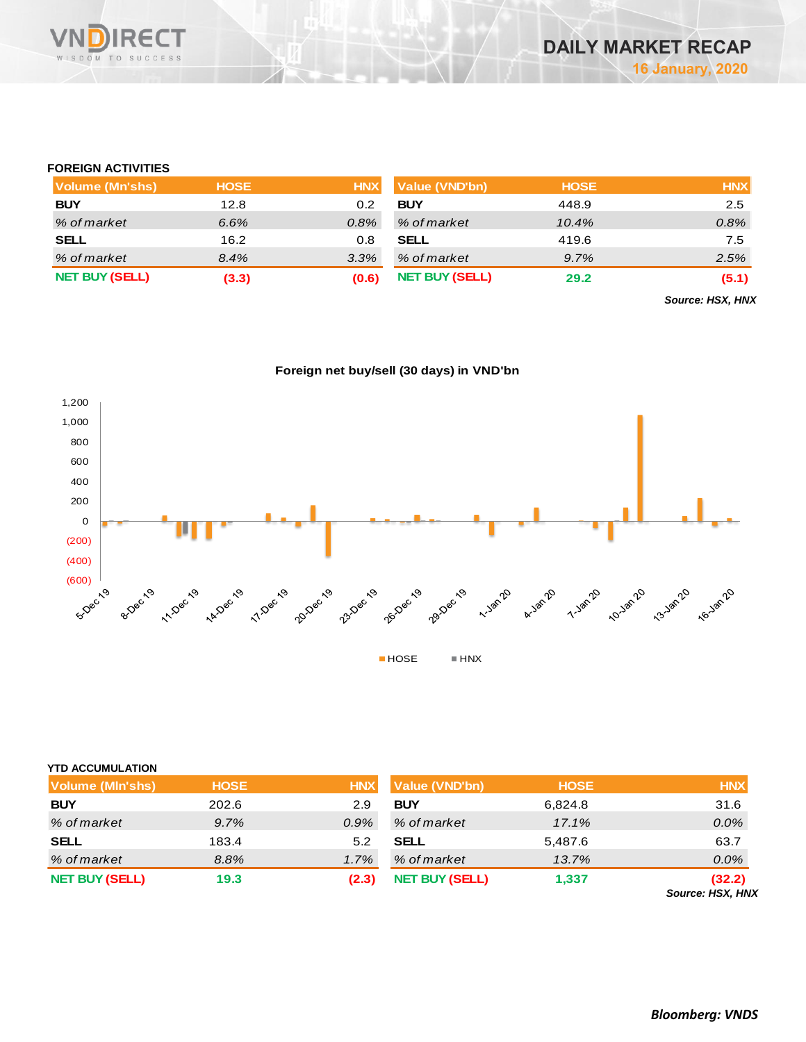

#### **FOREIGN ACTIVITIES**

| Volume (Mn'shs)       | <b>HOSE</b> | <b>HNX</b> | <b>Value (VND'bn)</b> | <b>HOSE</b> | <b>HNX</b> |
|-----------------------|-------------|------------|-----------------------|-------------|------------|
| <b>BUY</b>            | 12.8        | 0.2        | <b>BUY</b>            | 448.9       | 2.5        |
| % of market           | 6.6%        | 0.8%       | % of market           | 10.4%       | 0.8%       |
| <b>SELL</b>           | 16.2        | 0.8        | <b>SELL</b>           | 419.6       | 7.5        |
| % of market           | 8.4%        | 3.3%       | % of market           | 9.7%        | 2.5%       |
| <b>NET BUY (SELL)</b> | (3.3)       | (0.6)      | <b>NET BUY (SELL)</b> | 29.2        | (5.1)      |

*Source: HSX, HNX*





| <b>YTD ACCUMULATION</b> |             |            |                       |             |                            |
|-------------------------|-------------|------------|-----------------------|-------------|----------------------------|
| <b>Volume (MIn'shs)</b> | <b>HOSE</b> | <b>HNX</b> | <b>Value (VND'bn)</b> | <b>HOSE</b> | <b>HNX</b>                 |
| <b>BUY</b>              | 202.6       | 2.9        | <b>BUY</b>            | 6,824.8     | 31.6                       |
| % of market             | 9.7%        | 0.9%       | % of market           | 17.1%       | $0.0\%$                    |
| <b>SELL</b>             | 183.4       | 5.2        | <b>SELL</b>           | 5,487.6     | 63.7                       |
| % of market             | 8.8%        | 1.7%       | % of market           | 13.7%       | 0.0%                       |
| <b>NET BUY (SELL)</b>   | 19.3        | (2.3)      | <b>NET BUY (SELL)</b> | 1,337       | (32.2)<br>Source: HSX, HNX |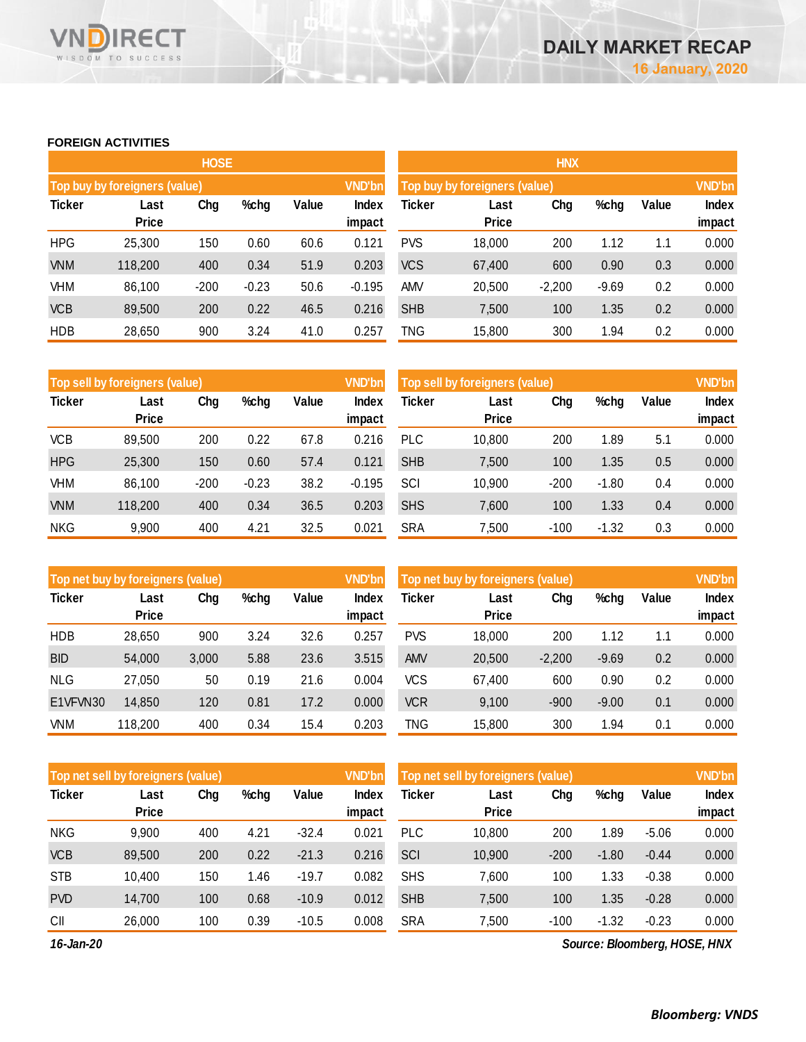## **FOREIGN ACTIVITIES**

WISDOM TO SUCCESS

**RECT** 

VND

|               |                               | <b>HOSE</b> |         |       |                 | <b>HNX</b> |                               |          |         |       |                 |  |
|---------------|-------------------------------|-------------|---------|-------|-----------------|------------|-------------------------------|----------|---------|-------|-----------------|--|
|               | Top buy by foreigners (value) |             |         |       | <b>VND'bn</b>   |            | Top buy by foreigners (value) |          |         |       | <b>VND'bn</b>   |  |
| <b>Ticker</b> | Last<br><b>Price</b>          | Chg         | %chg    | Value | Index<br>impact | Ticker     | Last<br>Price                 | Chg      | %chg    | Value | Index<br>impact |  |
| <b>HPG</b>    | 25,300                        | 150         | 0.60    | 60.6  | 0.121           | <b>PVS</b> | 18,000                        | 200      | 1.12    | 1.1   | 0.000           |  |
| <b>VNM</b>    | 118,200                       | 400         | 0.34    | 51.9  | 0.203           | <b>VCS</b> | 67,400                        | 600      | 0.90    | 0.3   | 0.000           |  |
| <b>VHM</b>    | 86,100                        | $-200$      | $-0.23$ | 50.6  | $-0.195$        | <b>AMV</b> | 20,500                        | $-2,200$ | $-9.69$ | 0.2   | 0.000           |  |
| <b>VCB</b>    | 89,500                        | 200         | 0.22    | 46.5  | 0.216           | <b>SHB</b> | 7,500                         | 100      | 1.35    | 0.2   | 0.000           |  |
| <b>HDB</b>    | 28,650                        | 900         | 3.24    | 41.0  | 0.257           | TNG        | 15,800                        | 300      | 1.94    | 0.2   | 0.000           |  |

|               | Top sell by foreigners (value) |        |         |       | <b>VND'bn</b>  | Top sell by foreigners (value) |              |        |         |       | <b>VND'bn</b> |
|---------------|--------------------------------|--------|---------|-------|----------------|--------------------------------|--------------|--------|---------|-------|---------------|
| <b>Ticker</b> | Last                           | Chg    | %chg    | Value | <b>Index</b>   | Ticker                         | Last         | Chg    | %chg    | Value | <b>Index</b>  |
|               | <b>Price</b>                   |        |         |       | impact         |                                | <b>Price</b> |        |         |       | impact        |
| <b>VCB</b>    | 89,500                         | 200    | 0.22    | 67.8  | 0.216          | <b>PLC</b>                     | 10,800       | 200    | 1.89    | 5.1   | 0.000         |
| <b>HPG</b>    | 25,300                         | 150    | 0.60    | 57.4  | 0.121          | <b>SHB</b>                     | 7,500        | 100    | 1.35    | 0.5   | 0.000         |
| VHM           | 86.100                         | $-200$ | $-0.23$ | 38.2  | $-0.195$       | SCI                            | 10,900       | $-200$ | $-1.80$ | 0.4   | 0.000         |
| <b>VNM</b>    | 118,200                        | 400    | 0.34    | 36.5  | 0.203          | <b>SHS</b>                     | 7,600        | 100    | 1.33    | 0.4   | 0.000         |
| <b>NKG</b>    | 9,900                          | 400    | 4.21    | 32.5  | $0.02^{\circ}$ | <b>SRA</b>                     | 7,500        | $-100$ | $-1.32$ | 0.3   | 0.000         |

|               | Top net buy by foreigners (value) |       |      |       | <b>VND'bn</b> | Top net buy by foreigners (value) |              | <b>VND'bn</b> |         |       |        |
|---------------|-----------------------------------|-------|------|-------|---------------|-----------------------------------|--------------|---------------|---------|-------|--------|
| <b>Ticker</b> | Last                              | Chg   | %chg | Value | Index         | Ticker                            | Last         | Chg           | %chg    | Value | Index  |
|               | <b>Price</b>                      |       |      |       | impact        |                                   | <b>Price</b> |               |         |       | impact |
| <b>HDB</b>    | 28,650                            | 900   | 3.24 | 32.6  | 0.257         | <b>PVS</b>                        | 18,000       | 200           | 1.12    | 1.1   | 0.000  |
| <b>BID</b>    | 54,000                            | 3,000 | 5.88 | 23.6  | 3.515         | <b>AMV</b>                        | 20,500       | $-2,200$      | $-9.69$ | 0.2   | 0.000  |
| <b>NLG</b>    | 27,050                            | 50    | 0.19 | 21.6  | 0.004         | VCS                               | 67,400       | 600           | 0.90    | 0.2   | 0.000  |
| E1VFVN30      | 14,850                            | 120   | 0.81 | 17.2  | 0.000         | <b>VCR</b>                        | 9,100        | $-900$        | $-9.00$ | 0.1   | 0.000  |
| <b>VNM</b>    | 118,200                           | 400   | 0.34 | 15.4  | 0.203         | TNG                               | 15,800       | 300           | 1.94    | 0.1   | 0.000  |

| Top net sell by foreigners (value) |                      |     |      |         | <b>VND'bn</b>   | Top net sell by foreigners (value) |                      | <b>VND'bn</b> |         |         |                 |
|------------------------------------|----------------------|-----|------|---------|-----------------|------------------------------------|----------------------|---------------|---------|---------|-----------------|
| <b>Ticker</b>                      | Last<br><b>Price</b> | Chg | %chg | Value   | Index<br>impact | Ticker                             | Last<br><b>Price</b> | Chg           | %chg    | Value   | Index<br>impact |
| <b>NKG</b>                         | 9.900                | 400 | 4.21 | $-32.4$ | 0.021           | <b>PLC</b>                         | 10.800               | 200           | 1.89    | $-5.06$ | 0.000           |
| <b>VCB</b>                         | 89,500               | 200 | 0.22 | $-21.3$ | 0.216           | SCI                                | 10,900               | $-200$        | $-1.80$ | $-0.44$ | 0.000           |
| <b>STB</b>                         | 10.400               | 150 | 1.46 | $-19.7$ | 0.082           | <b>SHS</b>                         | 7,600                | 100           | 1.33    | $-0.38$ | 0.000           |
| <b>PVD</b>                         | 14,700               | 100 | 0.68 | $-10.9$ | 0.012           | <b>SHB</b>                         | 7,500                | 100           | 1.35    | $-0.28$ | 0.000           |
| CII                                | 26,000               | 100 | 0.39 | $-10.5$ | 0.008           | <b>SRA</b>                         | 7,500                | $-100$        | $-1.32$ | $-0.23$ | 0.000           |

*16-Jan-20*

*Source: Bloomberg, HOSE, HNX*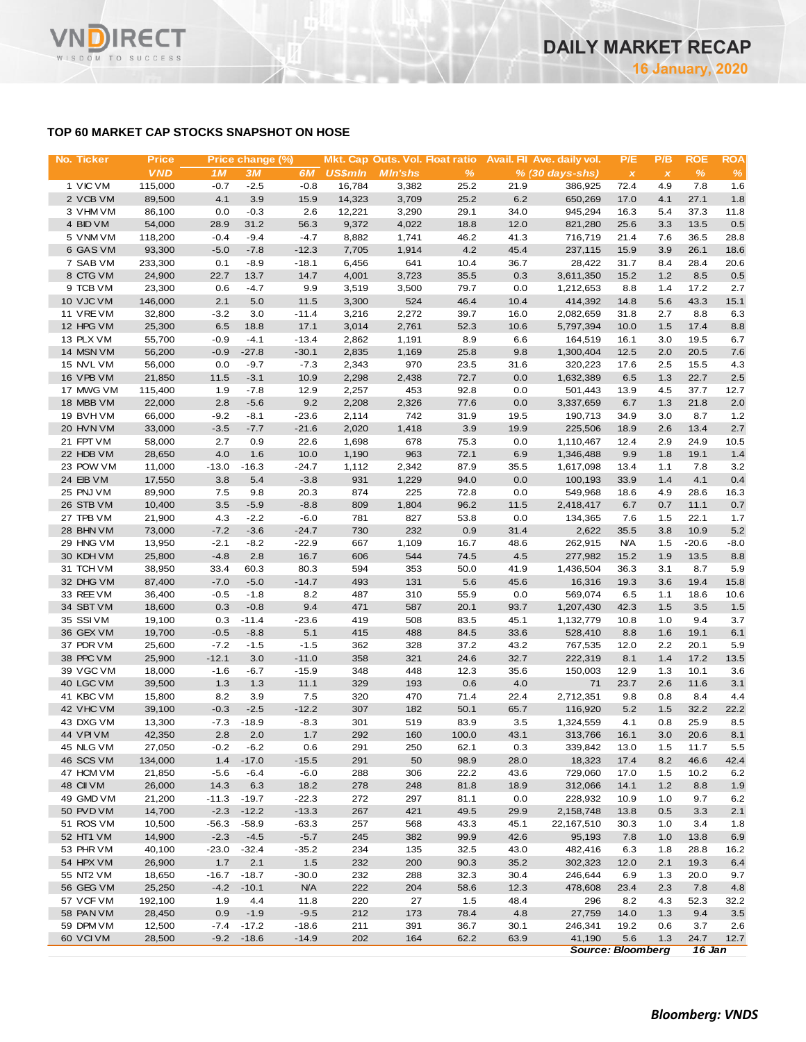### **TOP 60 MARKET CAP STOCKS SNAPSHOT ON HOSE**

| No. Ticker             | <b>Price</b>      |                | Price change (%)  |                |                | Mkt. Cap Outs. Vol. Float ratio |              |              | Avail. Fil Ave. daily vol. | P/E                       | P/B            | <b>ROE</b>   | <b>ROA</b>    |
|------------------------|-------------------|----------------|-------------------|----------------|----------------|---------------------------------|--------------|--------------|----------------------------|---------------------------|----------------|--------------|---------------|
|                        | <b>VND</b>        | 1M             | 3M                | 6M             | <b>US\$mln</b> | <b>M</b> In'shs                 | $\%$         |              | $% (30 days-shs)$          | $\boldsymbol{\mathsf{x}}$ | $\pmb{\times}$ | %            | $\frac{9}{6}$ |
| 1 VIC VM               | 115,000           | $-0.7$         | $-2.5$            | $-0.8$         | 16,784         | 3,382                           | 25.2         | 21.9         | 386,925                    | 72.4                      | 4.9            | 7.8          | 1.6           |
| 2 VCB VM               | 89,500            | 4.1            | 3.9               | 15.9           | 14,323         | 3,709                           | 25.2         | 6.2          | 650,269                    | 17.0                      | 4.1            | 27.1         | 1.8           |
| 3 VHM VM               | 86,100            | 0.0            | $-0.3$            | 2.6            | 12,221         | 3,290                           | 29.1         | 34.0         | 945,294                    | 16.3                      | 5.4            | 37.3         | 11.8          |
| 4 BID VM<br>5 VNM VM   | 54,000<br>118,200 | 28.9<br>$-0.4$ | 31.2<br>$-9.4$    | 56.3<br>$-4.7$ | 9,372<br>8,882 | 4,022<br>1,741                  | 18.8<br>46.2 | 12.0<br>41.3 | 821,280<br>716,719         | 25.6<br>21.4              | 3.3<br>7.6     | 13.5<br>36.5 | 0.5<br>28.8   |
| 6 GAS VM               | 93,300            | $-5.0$         | $-7.8$            | $-12.3$        | 7,705          | 1,914                           | 4.2          | 45.4         | 237,115                    | 15.9                      | 3.9            | 26.1         | 18.6          |
| 7 SAB VM               | 233,300           | 0.1            | $-8.9$            | $-18.1$        | 6,456          | 641                             | 10.4         | 36.7         | 28,422                     | 31.7                      | 8.4            | 28.4         | 20.6          |
| 8 CTG VM               | 24,900            | 22.7           | 13.7              | 14.7           | 4,001          | 3,723                           | 35.5         | 0.3          | 3,611,350                  | 15.2                      | 1.2            | 8.5          | 0.5           |
| 9 TCB VM               | 23,300            | 0.6            | $-4.7$            | 9.9            | 3,519          | 3,500                           | 79.7         | 0.0          | 1,212,653                  | 8.8                       | 1.4            | 17.2         | 2.7           |
| 10 VJC VM              | 146,000           | 2.1            | 5.0               | 11.5           | 3,300          | 524                             | 46.4         | 10.4         | 414,392                    | 14.8                      | 5.6            | 43.3         | 15.1          |
| 11 VRE VM              | 32,800            | $-3.2$         | 3.0               | $-11.4$        | 3,216          | 2,272                           | 39.7         | 16.0         | 2,082,659                  | 31.8                      | 2.7            | 8.8          | 6.3           |
| 12 HPG VM              | 25,300            | 6.5            | 18.8              | 17.1           | 3,014          | 2,761                           | 52.3         | 10.6         | 5,797,394                  | 10.0                      | 1.5            | 17.4         | 8.8           |
| 13 PLX VM              | 55,700            | $-0.9$         | $-4.1$            | $-13.4$        | 2,862          | 1,191                           | 8.9          | 6.6          | 164,519                    | 16.1                      | 3.0            | 19.5         | 6.7           |
| 14 MSN VM              | 56,200            | $-0.9$         | $-27.8$           | $-30.1$        | 2,835          | 1,169                           | 25.8         | 9.8          | 1,300,404                  | 12.5                      | 2.0            | 20.5         | 7.6           |
| 15 NVL VM              | 56,000            | 0.0            | $-9.7$            | $-7.3$         | 2,343          | 970                             | 23.5         | 31.6         | 320,223                    | 17.6                      | 2.5            | 15.5         | 4.3           |
| 16 VPB VM              | 21,850            | 11.5           | $-3.1$            | 10.9           | 2,298          | 2,438                           | 72.7         | 0.0          | 1,632,389                  | 6.5                       | 1.3            | 22.7         | 2.5           |
| 17 MWG VM<br>18 MBB VM | 115,400<br>22,000 | 1.9<br>2.8     | $-7.8$<br>$-5.6$  | 12.9<br>9.2    | 2,257<br>2,208 | 453<br>2,326                    | 92.8<br>77.6 | 0.0<br>0.0   | 501,443<br>3,337,659       | 13.9<br>6.7               | 4.5<br>1.3     | 37.7<br>21.8 | 12.7<br>2.0   |
| 19 BVH VM              | 66,000            | $-9.2$         | $-8.1$            | $-23.6$        | 2,114          | 742                             | 31.9         | 19.5         | 190,713                    | 34.9                      | 3.0            | 8.7          | 1.2           |
| 20 HVN VM              | 33,000            | $-3.5$         | $-7.7$            | $-21.6$        | 2,020          | 1,418                           | 3.9          | 19.9         | 225,506                    | 18.9                      | 2.6            | 13.4         | 2.7           |
| 21 FPT VM              | 58,000            | 2.7            | 0.9               | 22.6           | 1,698          | 678                             | 75.3         | 0.0          | 1,110,467                  | 12.4                      | 2.9            | 24.9         | 10.5          |
| 22 HDB VM              | 28,650            | 4.0            | 1.6               | 10.0           | 1,190          | 963                             | 72.1         | 6.9          | 1,346,488                  | 9.9                       | 1.8            | 19.1         | 1.4           |
| 23 POW VM              | 11,000            | $-13.0$        | $-16.3$           | $-24.7$        | 1,112          | 2,342                           | 87.9         | 35.5         | 1,617,098                  | 13.4                      | 1.1            | 7.8          | 3.2           |
| 24 EIB VM              | 17,550            | 3.8            | 5.4               | $-3.8$         | 931            | 1,229                           | 94.0         | 0.0          | 100,193                    | 33.9                      | 1.4            | 4.1          | 0.4           |
| 25 PNJ VM              | 89,900            | 7.5            | 9.8               | 20.3           | 874            | 225                             | 72.8         | 0.0          | 549,968                    | 18.6                      | 4.9            | 28.6         | 16.3          |
| 26 STB VM              | 10,400            | 3.5            | $-5.9$            | $-8.8$         | 809            | 1,804                           | 96.2         | 11.5         | 2,418,417                  | 6.7                       | 0.7            | 11.1         | 0.7           |
| 27 TPB VM              | 21,900            | 4.3            | $-2.2$            | $-6.0$         | 781            | 827                             | 53.8         | 0.0          | 134,365                    | 7.6                       | 1.5            | 22.1         | 1.7           |
| 28 BHN VM              | 73,000            | $-7.2$         | $-3.6$            | $-24.7$        | 730            | 232                             | 0.9          | 31.4         | 2,622                      | 35.5                      | 3.8            | 10.9         | 5.2           |
| 29 HNG VM              | 13,950            | $-2.1$         | $-8.2$            | $-22.9$        | 667            | 1,109                           | 16.7         | 48.6         | 262,915                    | <b>N/A</b>                | 1.5            | $-20.6$      | $-8.0$        |
| 30 KDH VM              | 25,800            | $-4.8$         | 2.8               | 16.7           | 606            | 544                             | 74.5         | 4.5          | 277,982                    | 15.2                      | 1.9            | 13.5         | 8.8           |
| 31 TCH VM              | 38,950            | 33.4           | 60.3              | 80.3           | 594            | 353                             | 50.0         | 41.9         | 1,436,504                  | 36.3                      | 3.1            | 8.7          | 5.9           |
| 32 DHG VM              | 87,400            | $-7.0$         | $-5.0$            | $-14.7$        | 493            | 131                             | 5.6          | 45.6         | 16,316                     | 19.3                      | 3.6            | 19.4         | 15.8          |
| 33 REE VM              | 36,400            | $-0.5$         | $-1.8$            | 8.2            | 487            | 310                             | 55.9         | 0.0          | 569,074                    | 6.5                       | 1.1            | 18.6         | 10.6          |
| 34 SBT VM              | 18,600            | 0.3            | $-0.8$            | 9.4            | 471            | 587                             | 20.1         | 93.7         | 1,207,430<br>1,132,779     | 42.3                      | 1.5            | 3.5          | 1.5           |
| 35 SSIVM<br>36 GEX VM  | 19,100<br>19,700  | 0.3<br>$-0.5$  | $-11.4$<br>$-8.8$ | $-23.6$<br>5.1 | 419<br>415     | 508<br>488                      | 83.5<br>84.5 | 45.1<br>33.6 | 528,410                    | 10.8<br>8.8               | 1.0<br>1.6     | 9.4<br>19.1  | 3.7<br>6.1    |
| 37 PDR VM              | 25,600            | $-7.2$         | $-1.5$            | $-1.5$         | 362            | 328                             | 37.2         | 43.2         | 767,535                    | 12.0                      | 2.2            | 20.1         | 5.9           |
| 38 PPC VM              | 25,900            | $-12.1$        | 3.0               | $-11.0$        | 358            | 321                             | 24.6         | 32.7         | 222,319                    | 8.1                       | 1.4            | 17.2         | 13.5          |
| 39 VGC VM              | 18,000            | $-1.6$         | $-6.7$            | $-15.9$        | 348            | 448                             | 12.3         | 35.6         | 150,003                    | 12.9                      | 1.3            | 10.1         | 3.6           |
| 40 LGC VM              | 39,500            | 1.3            | 1.3               | 11.1           | 329            | 193                             | 0.6          | 4.0          | 71                         | 23.7                      | 2.6            | 11.6         | 3.1           |
| 41 KBC VM              | 15,800            | 8.2            | 3.9               | 7.5            | 320            | 470                             | 71.4         | 22.4         | 2,712,351                  | 9.8                       | 0.8            | 8.4          | 4.4           |
| 42 VHC VM              | 39,100            | $-0.3$         | $-2.5$            | $-12.2$        | 307            | 182                             | 50.1         | 65.7         | 116,920                    | 5.2                       | 1.5            | 32.2         | 22.2          |
| 43 DXG VM              | 13,300            | $-7.3$         | $-18.9$           | $-8.3$         | 301            | 519                             | 83.9         | 3.5          | 1,324,559                  | 4.1                       | 0.8            | 25.9         | 8.5           |
| 44 VPIVM               | 42,350            | 2.8            | 2.0               | 1.7            | 292            | 160                             | 100.0        | 43.1         | 313,766                    | 16.1                      | 3.0            | 20.6         | 8.1           |
| 45 NLG VM              | 27,050            | $-0.2$         | $-6.2$            | 0.6            | 291            | 250                             | 62.1         | 0.3          | 339,842                    | 13.0                      | 1.5            | 11.7         | 5.5           |
| 46 SCS VM              | 134,000           | 1.4            | $-17.0$           | $-15.5$        | 291            | 50                              | 98.9         | 28.0         | 18,323                     | 17.4                      | 8.2            | 46.6         | 42.4          |
| 47 HCM VM              | 21,850            | $-5.6$         | $-6.4$            | $-6.0$         | 288            | 306                             | 22.2         | 43.6         | 729,060                    | 17.0                      | 1.5            | 10.2         | 6.2           |
| 48 CII VM              | 26,000            | 14.3           | 6.3               | 18.2           | 278            | 248                             | 81.8         | 18.9         | 312,066                    | 14.1                      | 1.2            | 8.8          | 1.9           |
| 49 GMD VM              | 21,200            | $-11.3$        | $-19.7$           | $-22.3$        | 272            | 297                             | 81.1         | 0.0          | 228,932                    | 10.9                      | 1.0            | 9.7          | 6.2           |
| 50 PVD VM              | 14,700            | $-2.3$         | $-12.2$           | $-13.3$        | 267            | 421                             | 49.5         | 29.9         | 2,158,748                  | 13.8                      | 0.5            | 3.3          | 2.1           |
| 51 ROS VM              | 10,500            | $-56.3$        | $-58.9$           | $-63.3$        | 257            | 568                             | 43.3         | 45.1         | 22,167,510                 | 30.3                      | 1.0            | 3.4          | 1.8           |
| 52 HT1 VM              | 14,900            | $-2.3$         | $-4.5$            | $-5.7$         | 245            | 382                             | 99.9         | 42.6         | 95,193                     | 7.8                       | 1.0            | 13.8         | 6.9           |
| 53 PHR VM<br>54 HPX VM | 40,100<br>26,900  | -23.0<br>1.7   | $-32.4$<br>2.1    | $-35.2$<br>1.5 | 234<br>232     | 135<br>200                      | 32.5<br>90.3 | 43.0<br>35.2 | 482,416<br>302,323         | 6.3<br>12.0               | 1.8<br>2.1     | 28.8<br>19.3 | 16.2          |
| 55 NT2 VM              | 18,650            | $-16.7$        | $-18.7$           | $-30.0$        | 232            | 288                             | 32.3         | 30.4         | 246,644                    | 6.9                       | 1.3            | 20.0         | 6.4<br>9.7    |
| 56 GEG VM              | 25,250            | $-4.2$         | $-10.1$           | <b>N/A</b>     | 222            | 204                             | 58.6         | 12.3         | 478,608                    | 23.4                      | 2.3            | 7.8          | 4.8           |
| 57 VCF VM              | 192,100           | 1.9            | 4.4               | 11.8           | 220            | 27                              | 1.5          | 48.4         | 296                        | 8.2                       | 4.3            | 52.3         | 32.2          |
| 58 PAN VM              | 28,450            | 0.9            | $-1.9$            | $-9.5$         | 212            | 173                             | 78.4         | 4.8          | 27,759                     | 14.0                      | 1.3            | 9.4          | 3.5           |
| 59 DPM VM              | 12,500            | $-7.4$         | $-17.2$           | $-18.6$        | 211            | 391                             | 36.7         | 30.1         | 246,341                    | 19.2                      | 0.6            | 3.7          | 2.6           |
|                        | 28,500            | $-9.2$         | $-18.6$           | $-14.9$        | 202            | 164                             | 62.2         | 63.9         | 41,190                     | 5.6                       | 1.3            | 24.7         | 12.7          |